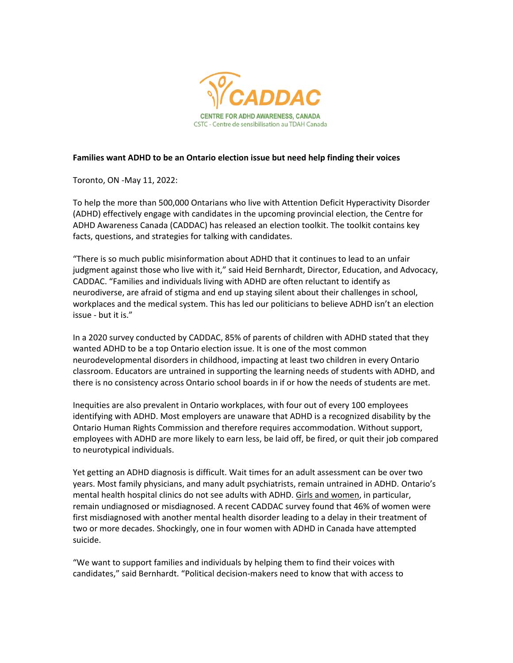

## **Families want ADHD to be an Ontario election issue but need help finding their voices**

Toronto, ON -May 11, 2022:

To help the more than 500,000 Ontarians who live with Attention Deficit Hyperactivity Disorder (ADHD) effectively engage with candidates in the upcoming provincial election, the Centre for ADHD Awareness Canada (CADDAC) has released an election toolkit. The toolkit contains key facts, questions, and strategies for talking with candidates.

"There is so much public misinformation about ADHD that it continues to lead to an unfair judgment against those who live with it," said Heid Bernhardt, Director, Education, and Advocacy, CADDAC. "Families and individuals living with ADHD are often reluctant to identify as neurodiverse, are afraid of stigma and end up staying silent about their challenges in school, workplaces and the medical system. This has led our politicians to believe ADHD isn't an election issue - but it is."

In a 2020 survey conducted by CADDAC, 85% of parents of children with ADHD stated that they wanted ADHD to be a top Ontario election issue. It is one of the most common neurodevelopmental disorders in childhood, impacting at least two children in every Ontario classroom. Educators are untrained in supporting the learning needs of students with ADHD, and there is no consistency across Ontario school boards in if or how the needs of students are met.

Inequities are also prevalent in Ontario workplaces, with four out of every 100 employees identifying with ADHD. Most employers are unaware that ADHD is a recognized disability by the Ontario Human Rights Commission and therefore requires accommodation. Without support, employees with ADHD are more likely to earn less, be laid off, be fired, or quit their job compared to neurotypical individuals.

Yet getting an ADHD diagnosis is difficult. Wait times for an adult assessment can be over two years. Most family physicians, and many adult psychiatrists, remain untrained in ADHD. Ontario's mental health hospital clinics do not see adults with ADHD. [Girls and women,](https://caddac.ca/wp-content/uploads/Girls-and-Women-with-ADHD-FINAL-1.pdf) in particular, remain undiagnosed or misdiagnosed. A recent CADDAC survey found that 46% of women were first misdiagnosed with another mental health disorder leading to a delay in their treatment of two or more decades. Shockingly, one in four women with ADHD in Canada have attempted suicide.

"We want to support families and individuals by helping them to find their voices with candidates," said Bernhardt. "Political decision-makers need to know that with access to